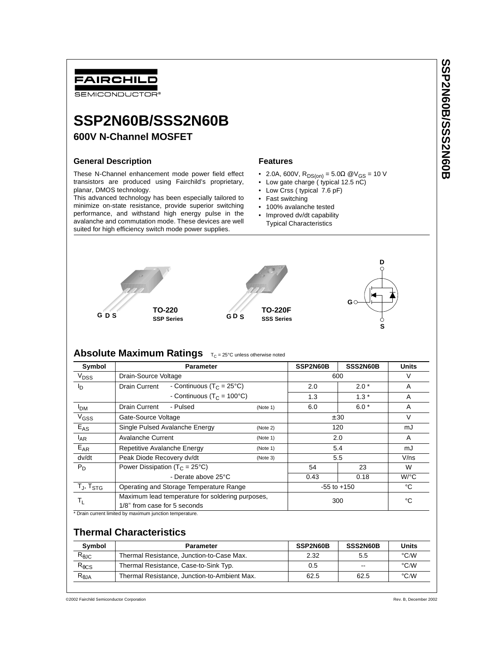## FAIRCHILD SEMICONDUCTOR<sup>®</sup> **SSP2N60B/SSS2N60B 600V N-Channel MOSFET General Description Features** These N-Channel enhancement mode power field effect • 2.0A, 600V, R<sub>DS(on)</sub> = 5.0Ω @V<sub>GS</sub> = 10 V transistors are produced using Fairchild's proprietary, • Low gate charge ( typical 12.5 nC) planar, DMOS technology. • Low Crss ( typical 7.6 pF) This advanced technology has been especially tailored to • Fast switching minimize on-state resistance, provide superior switching • 100% avalanche tested

performance, and withstand high energy pulse in the avalanche and commutation mode. These devices are well suited for high efficiency switch mode power supplies.

- Improved dv/dt capability
- Typical Characteristics



# **Absolute Maximum Ratings**  $T_C = 25^{\circ}C$  unless otherwise noted

| Symbol                                               | <b>Parameter</b>                                      |          | SSP2N60B        | SSS2N60B | <b>Units</b>       |
|------------------------------------------------------|-------------------------------------------------------|----------|-----------------|----------|--------------------|
| V <sub>DSS</sub>                                     | Drain-Source Voltage                                  |          | 600             |          | V                  |
| l <sub>D</sub>                                       | - Continuous (T <sub>C</sub> = 25°C)<br>Drain Current |          | 2.0             | $2.0*$   | A                  |
|                                                      | - Continuous ( $T_c$ = 100°C)                         |          | 1.3             | $1.3*$   | A                  |
| I <sub>DM</sub>                                      | Drain Current<br>- Pulsed                             | (Note 1) | 6.0             | $6.0*$   | A                  |
| $V$ <sub>GSS</sub>                                   | Gate-Source Voltage                                   |          | ± 30            |          | $\vee$             |
| $E_{AS}$                                             | Single Pulsed Avalanche Energy                        | (Note 2) | 120             |          | mJ                 |
| $I_{AR}$                                             | Avalanche Current                                     | (Note 1) | 2.0             |          | A                  |
| $E_{AR}$                                             | Repetitive Avalanche Energy<br>(Note 1)               |          | 5.4             |          | mJ                 |
| dv/dt                                                | Peak Diode Recovery dv/dt<br>(Note 3)                 |          | 5.5             |          | V/ns               |
| $P_D$                                                | Power Dissipation ( $T_C = 25^{\circ}C$ )             |          | 54              | 23       | W                  |
|                                                      | - Derate above 25°C                                   |          | 0.43            | 0.18     | $W$ <sup>o</sup> C |
| $\mathsf{T}_{\mathsf{J}}, \mathsf{T}_{\mathsf{STG}}$ | Operating and Storage Temperature Range               |          | $-55$ to $+150$ |          | °C                 |
|                                                      | Maximum lead temperature for soldering purposes,      |          | 300             |          | °C                 |
| T <sub>L</sub>                                       | 1/8" from case for 5 seconds                          |          |                 |          |                    |

# **Thermal Characteristics**

| Symbol          | <b>Parameter</b>                             | SSP2N60B | SSS2N60B | Units              |
|-----------------|----------------------------------------------|----------|----------|--------------------|
| $R_{\theta$ JC  | Thermal Resistance, Junction-to-Case Max.    | 2.32     | 5.5      | $\rm ^{\circ}$ C/W |
| $R_{\theta CS}$ | Thermal Resistance, Case-to-Sink Typ.        | 0.5      | $-$      | $\rm ^{\circ}$ C/W |
| $R_{\theta$ JA  | Thermal Resistance, Junction-to-Ambient Max. | 62.5     | 62.5     | $\rm ^{\circ}$ C/W |

©2002 Fairchild Semiconductor Corporation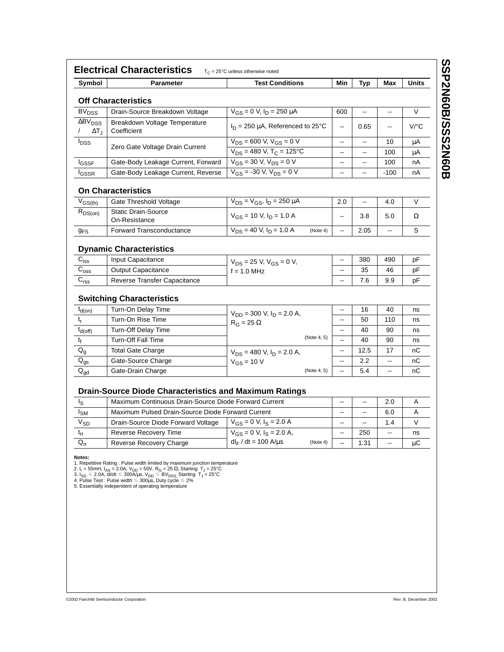| Symbol                                                | <b>Parameter</b>                                                                                                       | <b>Test Conditions</b>                              | Min                                                  | Typ                      | Max                      | <b>Units</b>   |
|-------------------------------------------------------|------------------------------------------------------------------------------------------------------------------------|-----------------------------------------------------|------------------------------------------------------|--------------------------|--------------------------|----------------|
|                                                       | <b>Off Characteristics</b>                                                                                             |                                                     |                                                      |                          |                          |                |
| <b>BV<sub>DSS</sub></b>                               | Drain-Source Breakdown Voltage                                                                                         | $V_{GS} = 0$ V, $I_D = 250 \mu A$                   | 600                                                  | $\overline{\phantom{a}}$ | --                       | V              |
| $\Delta$ BV <sub>DSS</sub><br>$\Delta T_{\rm H}$      | Breakdown Voltage Temperature<br>Coefficient                                                                           | $I_D$ = 250 µA, Referenced to 25°C                  | $\overline{\phantom{a}}$                             | 0.65                     | $\overline{\phantom{a}}$ | V/°C           |
| <b>I</b> <sub>DSS</sub>                               | Zero Gate Voltage Drain Current                                                                                        | $V_{DS}$ = 600 V, $V_{GS}$ = 0 V                    | $\overline{\phantom{a}}$                             | $\overline{\phantom{a}}$ | 10                       | μA             |
|                                                       |                                                                                                                        | $\overline{V_{DS}}$ = 480 V, T <sub>C</sub> = 125°C | $\frac{1}{2}$                                        | --                       | 100                      | μA             |
| lgssf                                                 | Gate-Body Leakage Current, Forward                                                                                     | $V_{GS} = 30 V, V_{DS} = 0 V$                       | --                                                   | ÷                        | 100                      | nA             |
| <sup>I</sup> GSSR                                     | Gate-Body Leakage Current, Reverse                                                                                     | $V_{GS}$ = -30 V, $V_{DS}$ = 0 V                    | $\overline{\phantom{a}}$                             | $\overline{\phantom{a}}$ | $-100$                   | nA             |
|                                                       | <b>On Characteristics</b>                                                                                              |                                                     |                                                      |                          |                          |                |
| $V_{GS(th)}$                                          | Gate Threshold Voltage                                                                                                 | $V_{DS} = V_{GS}$ , $I_D = 250 \mu A$               | 2.0                                                  | ۰.                       | 4.0                      | V              |
| $R_{DS(on)}$                                          | <b>Static Drain-Source</b><br>On-Resistance                                                                            | $V_{GS}$ = 10 V, $I_D$ = 1.0 A                      | $\qquad \qquad \cdots$                               | 3.8                      | 5.0                      | Ω              |
| 9 <sub>FS</sub>                                       | <b>Forward Transconductance</b>                                                                                        | $V_{DS}$ = 40 V, $I_D$ = 1.0 A<br>(Note 4)          | $\overline{\phantom{a}}$                             | 2.05                     | --                       | S              |
| $C_{iss}$<br>$\mathrm{C_{oss}}$<br>$\mathrm{C_{rss}}$ | Input Capacitance<br>Output Capacitance<br>Reverse Transfer Capacitance                                                | $V_{DS}$ = 25 V, $V_{GS}$ = 0 V,<br>$f = 1.0$ MHz   | --<br>$\overline{\phantom{a}}$                       | 35<br>7.6                | 46<br>9.9                | рF<br>рF<br>рF |
|                                                       | <b>Switching Characteristics</b>                                                                                       |                                                     |                                                      |                          |                          |                |
| $t_{d(on)}$                                           | Turn-On Delay Time                                                                                                     | $V_{DD}$ = 300 V, $I_D$ = 2.0 A,                    | --                                                   | 16                       | 40<br>110                | ns             |
| t,                                                    | Turn-On Rise Time<br>Turn-Off Delay Time                                                                               | $R_G = 25 \Omega$                                   | $\overline{\phantom{a}}$<br>$\overline{\phantom{a}}$ | 50<br>40                 | 90                       | ns             |
| $t_{d(off)}$<br>t <sub>f</sub>                        | <b>Turn-Off Fall Time</b>                                                                                              | (Note 4, 5)                                         | $\overline{\phantom{a}}$                             | 40                       | 90                       | ns             |
| $\mathsf{Q}_{\mathsf{g}}$                             | <b>Total Gate Charge</b>                                                                                               |                                                     | --                                                   | 12.5                     | 17                       | ns<br>nС       |
| $\mathsf{Q}_{\mathsf{gs}}$                            | Gate-Source Charge                                                                                                     | $V_{DS}$ = 480 V, $I_D$ = 2.0 A,<br>$V_{GS}$ = 10 V | --                                                   | 2.2                      | Ξ.                       | nС             |
| $Q_{\text{gd}}$                                       | Gate-Drain Charge                                                                                                      | (Note 4, 5)                                         | $\overline{\phantom{a}}$                             | 5.4                      | ۰.                       | nС             |
| Is                                                    | <b>Drain-Source Diode Characteristics and Maximum Ratings</b><br>Maximum Continuous Drain-Source Diode Forward Current |                                                     | --                                                   | -−                       | 2.0                      | A              |
| $I_{\text{SM}}$                                       | Maximum Pulsed Drain-Source Diode Forward Current                                                                      |                                                     |                                                      | --                       | 6.0                      | A              |
| $\mathsf{V}_{\mathsf{SD}}$                            | Drain-Source Diode Forward Voltage                                                                                     | $V_{GS} = 0 V, I_S = 2.0 A$                         | --<br>--                                             | --                       | 1.4                      | V              |
| $t_{rr}$                                              | Reverse Recovery Time                                                                                                  | $V_{GS} = 0$ V, $I_S = 2.0$ A,                      |                                                      | 250                      | ۰-                       | ns             |
| $Q_{rr}$                                              | Reverse Recovery Charge                                                                                                | $dl_F/dt = 100$ A/ $\mu$ s<br>(Note 4)              | $\overline{\phantom{a}}$                             | 1.31                     | --                       | μC             |
| Notes:                                                | 1. Repetitive Rating: Pulse width limited by maximum junction temperature                                              |                                                     |                                                      |                          |                          |                |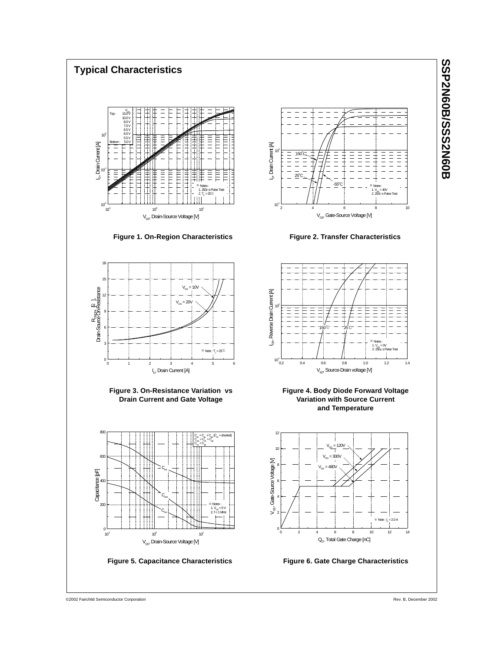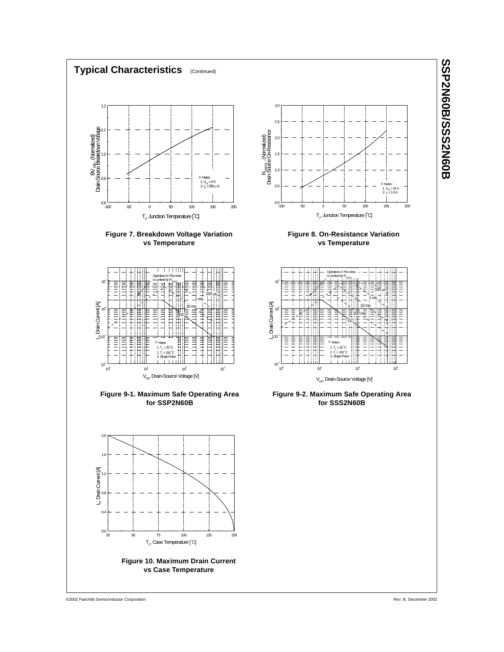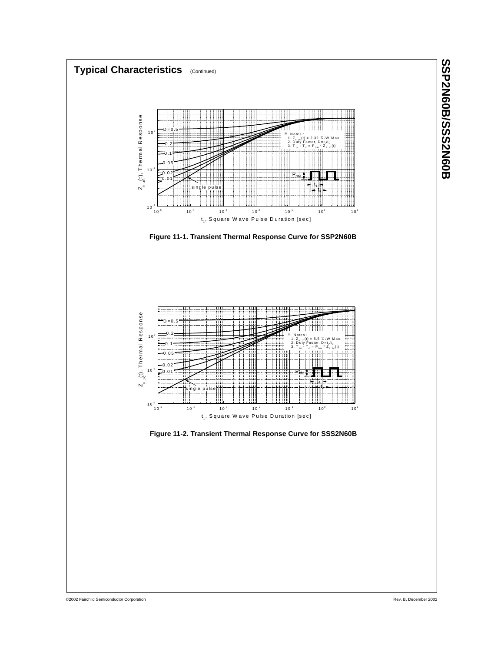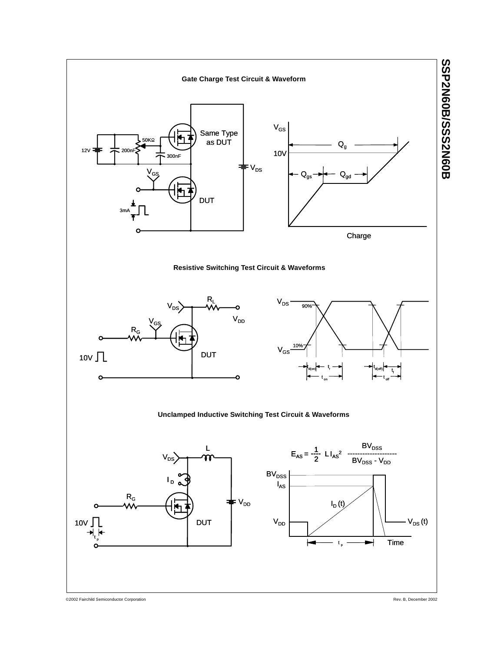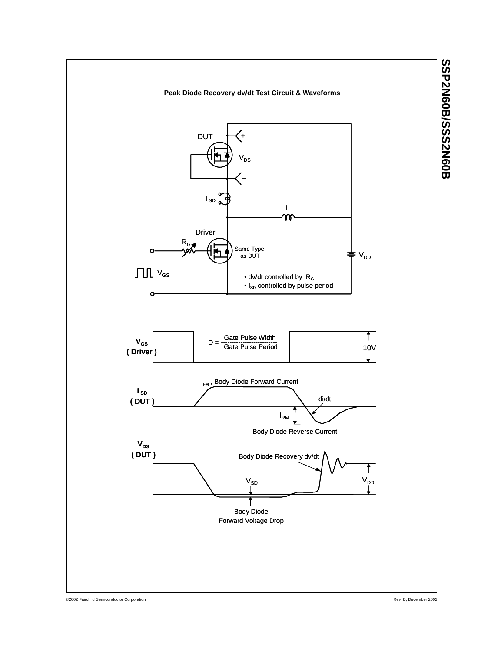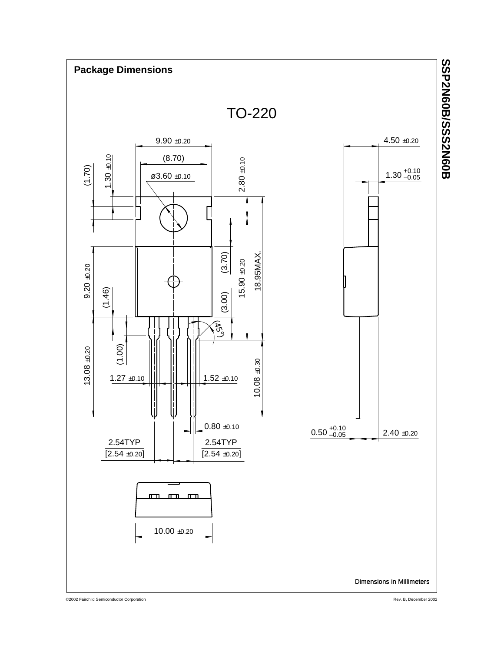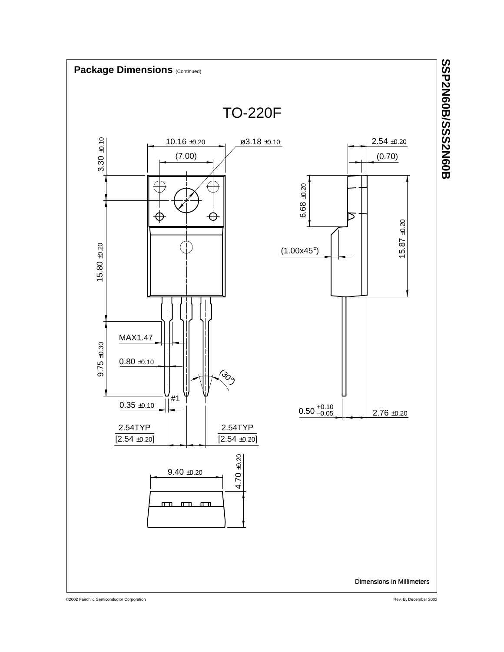